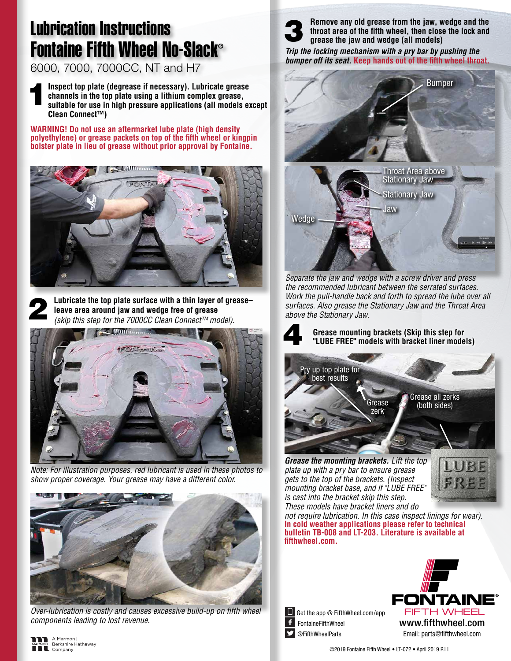## Lubrication Instructions Fontaine Fifth Wheel No-Slack®

6000, 7000, 7000CC, NT and H7

**1** Inspect top plate (degrease if necessary). Lubricate grease channels in the top plate using a lithium complex grease, suitable for use in high pressure applications (all models ex**channels in the top plate using a lithium complex grease, suitable for use in high pressure applications (all models except Clean Connect™)**

**WARNING! Do not use an aftermarket lube plate (high density polyethylene) or grease packets on top of the fifth wheel or kingpin bolster plate in lieu of grease without prior approval by Fontaine.**





2 **Lubricate the top plate surface with a thin layer of grease– leave area around jaw and wedge free of grease** *(skip this step for the 7000CC Clean Connect™ model).*



*Note: For illustration purposes, red lubricant is used in these photos to show proper coverage. Your grease may have a different color.*



*Over-lubrication is costly and causes excessive build-up on fifth wheel components leading to lost revenue.*



**Remove any old grease from the jaw, wedge and the throat area of the fifth wheel, then close the lock and grease the jaw and wedge (all models)**

*Trip the locking mechanism with a pry bar by pushing the bumper off its seat.* **Keep hands out of the fifth wheel throat.**



*Separate the jaw and wedge with a screw driver and press the recommended lubricant between the serrated surfaces. Work the pull-handle back and forth to spread the lube over all surfaces. Also grease the Stationary Jaw and the Throat Area above the Stationary Jaw.*



**Grease mounting brackets (Skip this step for** 4 **"LUBE FREE" models with bracket liner models)**



*Grease the mounting brackets. Lift the top plate up with a pry bar to ensure grease gets to the top of the brackets. (Inspect mounting bracket base, and if "LUBE FREE" is cast into the bracket skip this step. These models have bracket liners and do* 



*not require lubrication. In this case inspect linings for wear).*  **In cold weather applications please refer to technical bulletin TB-008 and LT-203. Literature is available at fifthwheel.com.**





©2019 Fontaine Fifth Wheel • LT-072 • April 2019 R11